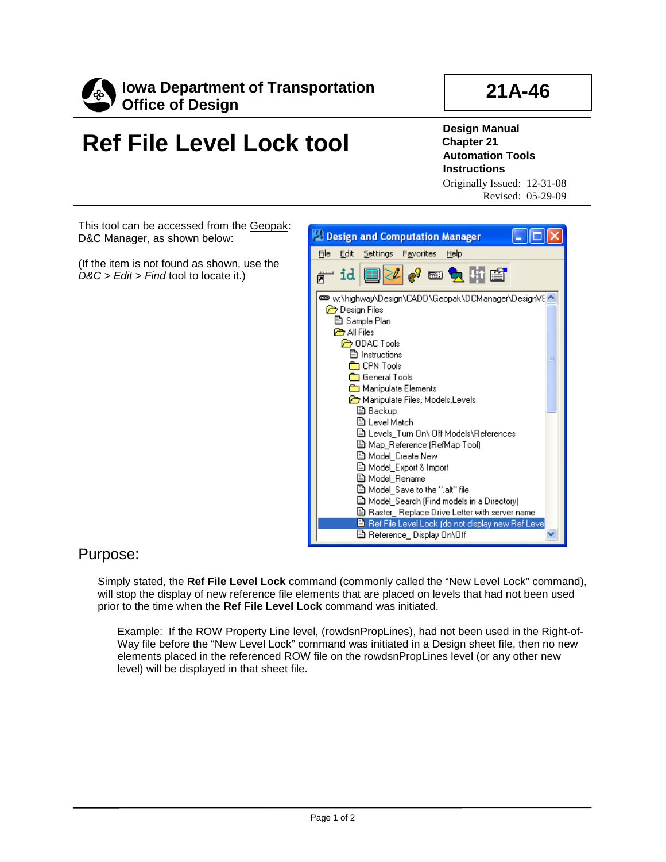

## **21A-46**

## **Ref File Level Lock tool**

**Design Manual Chapter 21 Automation Tools Instructions**

Originally Issued: 12-31-08 Revised: 05-29-09

This tool can be accessed from the Geopak: D&C Manager, as shown below:

(If the item is not found as shown, use the *D&C > Edit > Find* tool to locate it.)



## Purpose:

Simply stated, the **Ref File Level Lock** command (commonly called the "New Level Lock" command), will stop the display of new reference file elements that are placed on levels that had not been used prior to the time when the **Ref File Level Lock** command was initiated.

Example: If the ROW Property Line level, (rowdsnPropLines), had not been used in the Right-of-Way file before the "New Level Lock" command was initiated in a Design sheet file, then no new elements placed in the referenced ROW file on the rowdsnPropLines level (or any other new level) will be displayed in that sheet file.